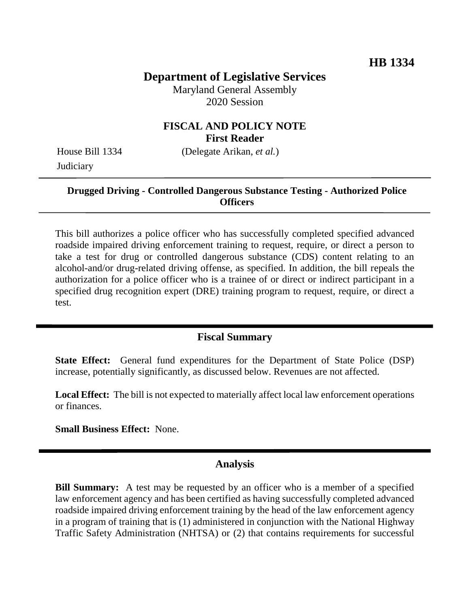# **Department of Legislative Services**

Maryland General Assembly 2020 Session

### **FISCAL AND POLICY NOTE First Reader**

House Bill 1334 (Delegate Arikan, *et al.*) **Judiciary** 

### **Drugged Driving - Controlled Dangerous Substance Testing - Authorized Police Officers**

This bill authorizes a police officer who has successfully completed specified advanced roadside impaired driving enforcement training to request, require, or direct a person to take a test for drug or controlled dangerous substance (CDS) content relating to an alcohol-and/or drug-related driving offense, as specified. In addition, the bill repeals the authorization for a police officer who is a trainee of or direct or indirect participant in a specified drug recognition expert (DRE) training program to request, require, or direct a test.

### **Fiscal Summary**

**State Effect:** General fund expenditures for the Department of State Police (DSP) increase, potentially significantly, as discussed below. Revenues are not affected.

**Local Effect:** The bill is not expected to materially affect local law enforcement operations or finances.

**Small Business Effect:** None.

#### **Analysis**

**Bill Summary:** A test may be requested by an officer who is a member of a specified law enforcement agency and has been certified as having successfully completed advanced roadside impaired driving enforcement training by the head of the law enforcement agency in a program of training that is (1) administered in conjunction with the National Highway Traffic Safety Administration (NHTSA) or (2) that contains requirements for successful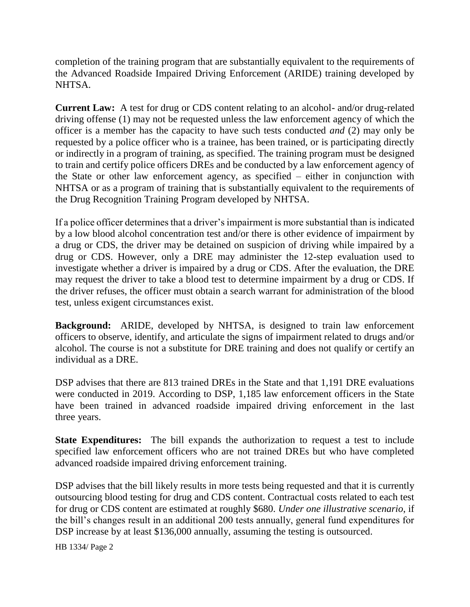completion of the training program that are substantially equivalent to the requirements of the Advanced Roadside Impaired Driving Enforcement (ARIDE) training developed by NHTSA.

**Current Law:** A test for drug or CDS content relating to an alcohol- and/or drug-related driving offense (1) may not be requested unless the law enforcement agency of which the officer is a member has the capacity to have such tests conducted *and* (2) may only be requested by a police officer who is a trainee, has been trained, or is participating directly or indirectly in a program of training, as specified. The training program must be designed to train and certify police officers DREs and be conducted by a law enforcement agency of the State or other law enforcement agency, as specified – either in conjunction with NHTSA or as a program of training that is substantially equivalent to the requirements of the Drug Recognition Training Program developed by NHTSA.

If a police officer determines that a driver's impairment is more substantial than is indicated by a low blood alcohol concentration test and/or there is other evidence of impairment by a drug or CDS, the driver may be detained on suspicion of driving while impaired by a drug or CDS. However, only a DRE may administer the 12-step evaluation used to investigate whether a driver is impaired by a drug or CDS. After the evaluation, the DRE may request the driver to take a blood test to determine impairment by a drug or CDS. If the driver refuses, the officer must obtain a search warrant for administration of the blood test, unless exigent circumstances exist.

**Background:** ARIDE, developed by NHTSA, is designed to train law enforcement officers to observe, identify, and articulate the signs of impairment related to drugs and/or alcohol. The course is not a substitute for DRE training and does not qualify or certify an individual as a DRE.

DSP advises that there are 813 trained DREs in the State and that 1,191 DRE evaluations were conducted in 2019. According to DSP, 1,185 law enforcement officers in the State have been trained in advanced roadside impaired driving enforcement in the last three years.

**State Expenditures:** The bill expands the authorization to request a test to include specified law enforcement officers who are not trained DREs but who have completed advanced roadside impaired driving enforcement training.

DSP advises that the bill likely results in more tests being requested and that it is currently outsourcing blood testing for drug and CDS content. Contractual costs related to each test for drug or CDS content are estimated at roughly \$680. *Under one illustrative scenario*, if the bill's changes result in an additional 200 tests annually, general fund expenditures for DSP increase by at least \$136,000 annually, assuming the testing is outsourced.

HB 1334/ Page 2